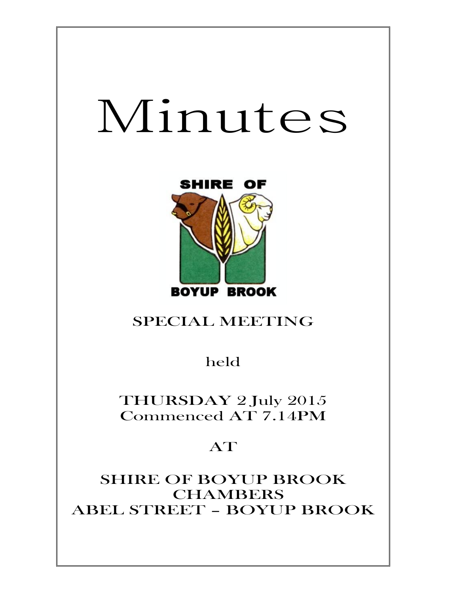# Minutes



## SPECIAL MEETING

held

THURSDAY 2 July 2015 Commenced AT 7.14PM

## AT

SHIRE OF BOYUP BROOK **CHAMBERS** ABEL STREET – BOYUP BROOK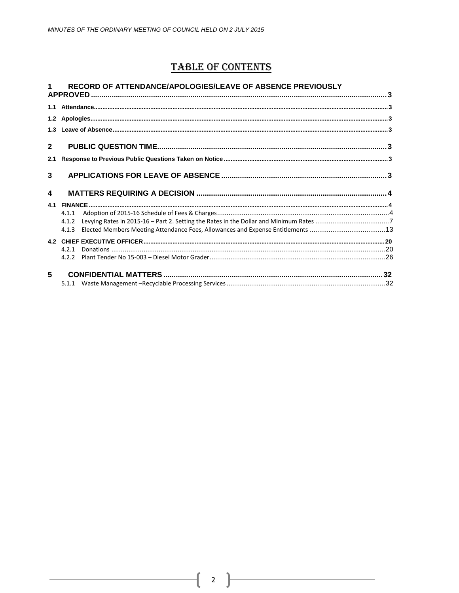### **TABLE OF CONTENTS**

#### 1 RECORD OF ATTENDANCE/APOLOGIES/LEAVE OF ABSENCE PREVIOUSLY

| $\mathbf{2}$     |       |  |
|------------------|-------|--|
| 2.1              |       |  |
| 3 <sup>1</sup>   |       |  |
| $\blacktriangle$ |       |  |
|                  |       |  |
|                  | 4.1.1 |  |
|                  |       |  |
|                  |       |  |
|                  |       |  |
|                  |       |  |
|                  |       |  |
| 5                |       |  |
|                  |       |  |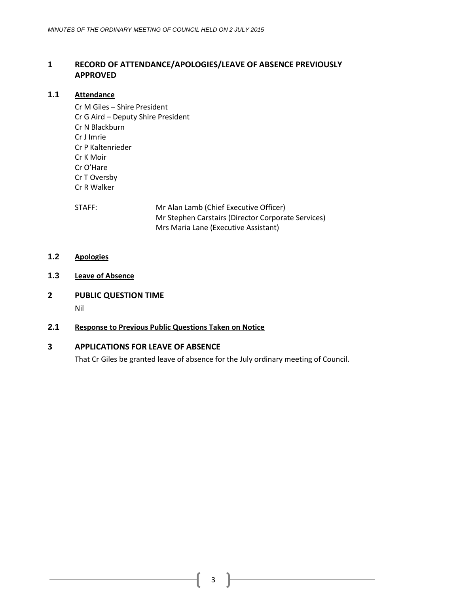#### <span id="page-2-0"></span>**1 RECORD OF ATTENDANCE/APOLOGIES/LEAVE OF ABSENCE PREVIOUSLY APPROVED**

#### <span id="page-2-1"></span>**1.1 Attendance**

Cr M Giles – Shire President Cr G Aird – Deputy Shire President Cr N Blackburn Cr J Imrie Cr P Kaltenrieder Cr K Moir Cr O'Hare Cr T Oversby Cr R Walker

STAFF: Mr Alan Lamb (Chief Executive Officer) Mr Stephen Carstairs (Director Corporate Services) Mrs Maria Lane (Executive Assistant)

- <span id="page-2-2"></span>**1.2 Apologies**
- <span id="page-2-3"></span>**1.3 Leave of Absence**
- <span id="page-2-4"></span>**2 PUBLIC QUESTION TIME**

Nil

#### <span id="page-2-5"></span>**2.1 Response to Previous Public Questions Taken on Notice**

#### <span id="page-2-6"></span>**3 APPLICATIONS FOR LEAVE OF ABSENCE**

That Cr Giles be granted leave of absence for the July ordinary meeting of Council.

3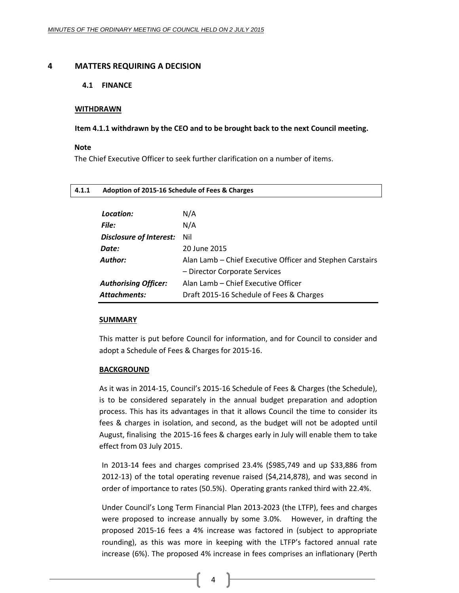#### <span id="page-3-1"></span><span id="page-3-0"></span>**4 MATTERS REQUIRING A DECISION**

#### **4.1 FINANCE**

#### **WITHDRAWN**

#### **Item 4.1.1 withdrawn by the CEO and to be brought back to the next Council meeting.**

#### **Note**

The Chief Executive Officer to seek further clarification on a number of items.

<span id="page-3-2"></span>

| 4.1.1 | Adoption of 2015-16 Schedule of Fees & Charges |                                                           |  |
|-------|------------------------------------------------|-----------------------------------------------------------|--|
|       | Location:                                      | N/A                                                       |  |
|       | File:                                          | N/A                                                       |  |
|       | Disclosure of Interest:                        | Nil                                                       |  |
|       | Date:                                          | 20 June 2015                                              |  |
|       | <b>Author:</b>                                 | Alan Lamb – Chief Executive Officer and Stephen Carstairs |  |
|       |                                                | - Director Corporate Services                             |  |
|       | <b>Authorising Officer:</b>                    | Alan Lamb – Chief Executive Officer                       |  |
|       | Attachments:                                   | Draft 2015-16 Schedule of Fees & Charges                  |  |

#### **SUMMARY**

This matter is put before Council for information, and for Council to consider and adopt a Schedule of Fees & Charges for 2015-16.

#### **BACKGROUND**

As it was in 2014-15, Council's 2015-16 Schedule of Fees & Charges (the Schedule), is to be considered separately in the annual budget preparation and adoption process. This has its advantages in that it allows Council the time to consider its fees & charges in isolation, and second, as the budget will not be adopted until August, finalising the 2015-16 fees & charges early in July will enable them to take effect from 03 July 2015.

In 2013-14 fees and charges comprised 23.4% (\$985,749 and up \$33,886 from 2012-13) of the total operating revenue raised (\$4,214,878), and was second in order of importance to rates (50.5%). Operating grants ranked third with 22.4%.

Under Council's Long Term Financial Plan 2013-2023 (the LTFP), fees and charges were proposed to increase annually by some 3.0%. However, in drafting the proposed 2015-16 fees a 4% increase was factored in (subject to appropriate rounding), as this was more in keeping with the LTFP's factored annual rate increase (6%). The proposed 4% increase in fees comprises an inflationary (Perth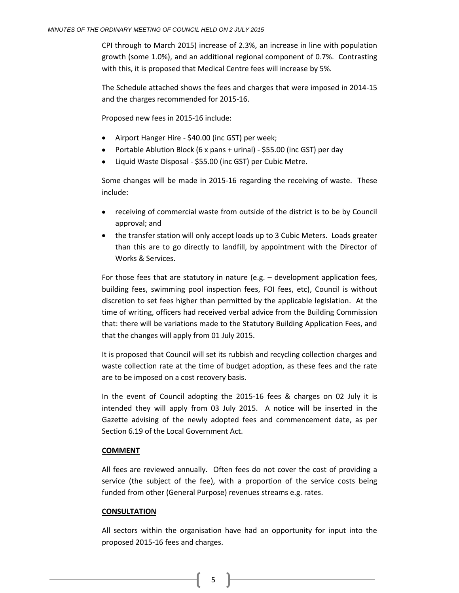CPI through to March 2015) increase of 2.3%, an increase in line with population growth (some 1.0%), and an additional regional component of 0.7%. Contrasting with this, it is proposed that Medical Centre fees will increase by 5%.

The Schedule attached shows the fees and charges that were imposed in 2014-15 and the charges recommended for 2015-16.

Proposed new fees in 2015-16 include:

- Airport Hanger Hire \$40.00 (inc GST) per week;
- Portable Ablution Block (6 x pans + urinal) \$55.00 (inc GST) per day
- Liquid Waste Disposal \$55.00 (inc GST) per Cubic Metre.

Some changes will be made in 2015-16 regarding the receiving of waste. These include:

- receiving of commercial waste from outside of the district is to be by Council approval; and
- the transfer station will only accept loads up to 3 Cubic Meters. Loads greater than this are to go directly to landfill, by appointment with the Director of Works & Services.

For those fees that are statutory in nature (e.g. – development application fees, building fees, swimming pool inspection fees, FOI fees, etc), Council is without discretion to set fees higher than permitted by the applicable legislation. At the time of writing, officers had received verbal advice from the Building Commission that: there will be variations made to the Statutory Building Application Fees, and that the changes will apply from 01 July 2015.

It is proposed that Council will set its rubbish and recycling collection charges and waste collection rate at the time of budget adoption, as these fees and the rate are to be imposed on a cost recovery basis.

In the event of Council adopting the 2015-16 fees & charges on 02 July it is intended they will apply from 03 July 2015. A notice will be inserted in the Gazette advising of the newly adopted fees and commencement date, as per Section 6.19 of the Local Government Act.

#### **COMMENT**

All fees are reviewed annually. Often fees do not cover the cost of providing a service (the subject of the fee), with a proportion of the service costs being funded from other (General Purpose) revenues streams e.g. rates.

#### **CONSULTATION**

All sectors within the organisation have had an opportunity for input into the proposed 2015-16 fees and charges.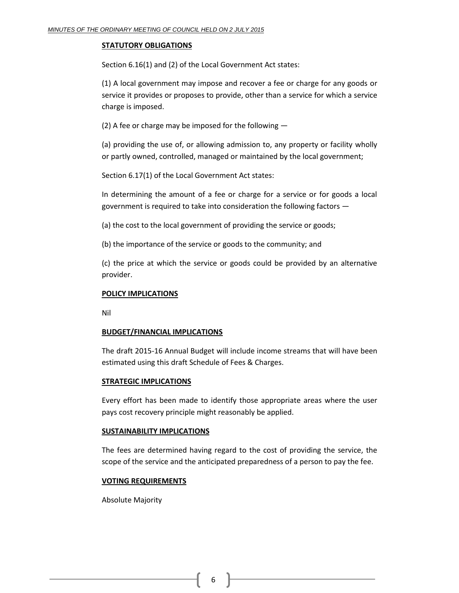#### **STATUTORY OBLIGATIONS**

Section 6.16(1) and (2) of the Local Government Act states:

(1) A local government may impose and recover a fee or charge for any goods or service it provides or proposes to provide, other than a service for which a service charge is imposed.

(2) A fee or charge may be imposed for the following —

(a) providing the use of, or allowing admission to, any property or facility wholly or partly owned, controlled, managed or maintained by the local government;

Section 6.17(1) of the Local Government Act states:

In determining the amount of a fee or charge for a service or for goods a local government is required to take into consideration the following factors —

(a) the cost to the local government of providing the service or goods;

(b) the importance of the service or goods to the community; and

(c) the price at which the service or goods could be provided by an alternative provider.

#### **POLICY IMPLICATIONS**

Nil

#### **BUDGET/FINANCIAL IMPLICATIONS**

The draft 2015-16 Annual Budget will include income streams that will have been estimated using this draft Schedule of Fees & Charges.

#### **STRATEGIC IMPLICATIONS**

Every effort has been made to identify those appropriate areas where the user pays cost recovery principle might reasonably be applied.

#### **SUSTAINABILITY IMPLICATIONS**

The fees are determined having regard to the cost of providing the service, the scope of the service and the anticipated preparedness of a person to pay the fee.

#### **VOTING REQUIREMENTS**

Absolute Majority

6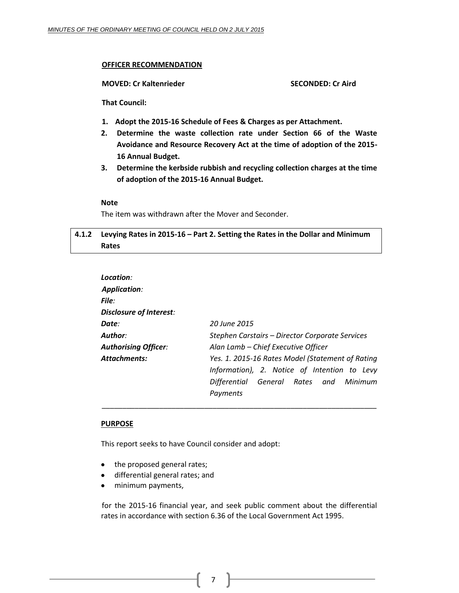#### **OFFICER RECOMMENDATION**

**MOVED: Cr Kaltenrieder SECONDED: Cr Aird**

**That Council:**

- **1. Adopt the 2015-16 Schedule of Fees & Charges as per Attachment.**
- **2. Determine the waste collection rate under Section 66 of the Waste Avoidance and Resource Recovery Act at the time of adoption of the 2015- 16 Annual Budget.**
- **3. Determine the kerbside rubbish and recycling collection charges at the time of adoption of the 2015-16 Annual Budget.**

#### **Note**

The item was withdrawn after the Mover and Seconder.

#### <span id="page-6-0"></span>**4.1.2 Levying Rates in 2015-16 – Part 2. Setting the Rates in the Dollar and Minimum Rates**

| Location:                      |                                                  |
|--------------------------------|--------------------------------------------------|
| <b>Application:</b>            |                                                  |
| File:                          |                                                  |
| <b>Disclosure of Interest:</b> |                                                  |
| Date:                          | 20 June 2015                                     |
| Author:                        | Stephen Carstairs - Director Corporate Services  |
| <b>Authorising Officer:</b>    | Alan Lamb - Chief Executive Officer              |
| <b>Attachments:</b>            | Yes. 1. 2015-16 Rates Model (Statement of Rating |
|                                | Information), 2. Notice of Intention to Levy     |
|                                | Differential General Rates and Minimum           |
|                                | Payments                                         |

\_\_\_\_\_\_\_\_\_\_\_\_\_\_\_\_\_\_\_\_\_\_\_\_\_\_\_\_\_\_\_\_\_\_\_\_\_\_\_\_\_\_\_\_\_\_\_\_\_\_\_\_\_\_\_\_\_\_\_\_\_\_\_\_\_\_\_

#### **PURPOSE**

This report seeks to have Council consider and adopt:

- the proposed general rates;
- differential general rates; and
- minimum payments,  $\bullet$

for the 2015-16 financial year, and seek public comment about the differential rates in accordance with section 6.36 of the Local Government Act 1995.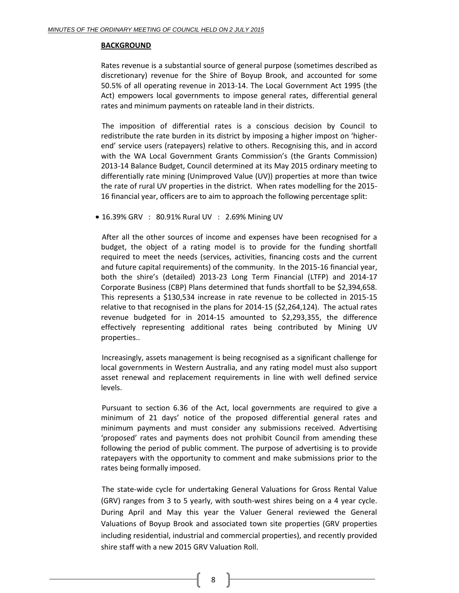#### **BACKGROUND**

Rates revenue is a substantial source of general purpose (sometimes described as discretionary) revenue for the Shire of Boyup Brook, and accounted for some 50.5% of all operating revenue in 2013-14. The Local Government Act 1995 (the Act) empowers local governments to impose general rates, differential general rates and minimum payments on rateable land in their districts.

The imposition of differential rates is a conscious decision by Council to redistribute the rate burden in its district by imposing a higher impost on 'higherend' service users (ratepayers) relative to others. Recognising this, and in accord with the WA Local Government Grants Commission's (the Grants Commission) 2013-14 Balance Budget, Council determined at its May 2015 ordinary meeting to differentially rate mining (Unimproved Value (UV)) properties at more than twice the rate of rural UV properties in the district. When rates modelling for the 2015- 16 financial year, officers are to aim to approach the following percentage split:

16.39% GRV : 80.91% Rural UV : 2.69% Mining UV

After all the other sources of income and expenses have been recognised for a budget, the object of a rating model is to provide for the funding shortfall required to meet the needs (services, activities, financing costs and the current and future capital requirements) of the community. In the 2015-16 financial year, both the shire's (detailed) 2013-23 Long Term Financial (LTFP) and 2014-17 Corporate Business (CBP) Plans determined that funds shortfall to be \$2,394,658. This represents a \$130,534 increase in rate revenue to be collected in 2015-15 relative to that recognised in the plans for 2014-15 (\$2,264,124). The actual rates revenue budgeted for in 2014-15 amounted to \$2,293,355, the difference effectively representing additional rates being contributed by Mining UV properties..

Increasingly, assets management is being recognised as a significant challenge for local governments in Western Australia, and any rating model must also support asset renewal and replacement requirements in line with well defined service levels.

Pursuant to section 6.36 of the Act, local governments are required to give a minimum of 21 days' notice of the proposed differential general rates and minimum payments and must consider any submissions received. Advertising 'proposed' rates and payments does not prohibit Council from amending these following the period of public comment. The purpose of advertising is to provide ratepayers with the opportunity to comment and make submissions prior to the rates being formally imposed.

The state-wide cycle for undertaking General Valuations for Gross Rental Value (GRV) ranges from 3 to 5 yearly, with south-west shires being on a 4 year cycle. During April and May this year the Valuer General reviewed the General Valuations of Boyup Brook and associated town site properties (GRV properties including residential, industrial and commercial properties), and recently provided shire staff with a new 2015 GRV Valuation Roll.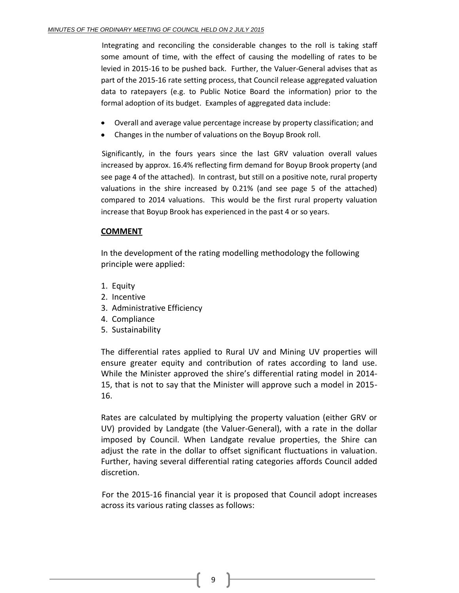Integrating and reconciling the considerable changes to the roll is taking staff some amount of time, with the effect of causing the modelling of rates to be levied in 2015-16 to be pushed back. Further, the Valuer-General advises that as part of the 2015-16 rate setting process, that Council release aggregated valuation data to ratepayers (e.g. to Public Notice Board the information) prior to the formal adoption of its budget. Examples of aggregated data include:

- Overall and average value percentage increase by property classification; and
- Changes in the number of valuations on the Boyup Brook roll.

Significantly, in the fours years since the last GRV valuation overall values increased by approx. 16.4% reflecting firm demand for Boyup Brook property (and see page 4 of the attached). In contrast, but still on a positive note, rural property valuations in the shire increased by 0.21% (and see page 5 of the attached) compared to 2014 valuations. This would be the first rural property valuation increase that Boyup Brook has experienced in the past 4 or so years.

#### **COMMENT**

In the development of the rating modelling methodology the following principle were applied:

- 1. Equity
- 2. Incentive
- 3. Administrative Efficiency
- 4. Compliance
- 5. Sustainability

The differential rates applied to Rural UV and Mining UV properties will ensure greater equity and contribution of rates according to land use. While the Minister approved the shire's differential rating model in 2014- 15, that is not to say that the Minister will approve such a model in 2015- 16.

Rates are calculated by multiplying the property valuation (either GRV or UV) provided by Landgate (the Valuer-General), with a rate in the dollar imposed by Council. When Landgate revalue properties, the Shire can adjust the rate in the dollar to offset significant fluctuations in valuation. Further, having several differential rating categories affords Council added discretion.

For the 2015-16 financial year it is proposed that Council adopt increases across its various rating classes as follows: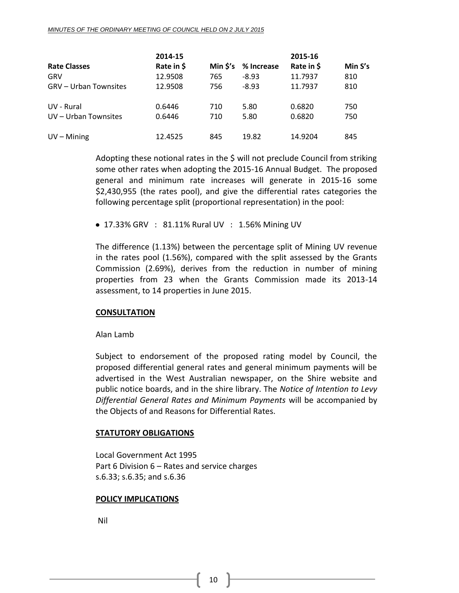|                              | 2014-15    |          |            | 2015-16    |         |
|------------------------------|------------|----------|------------|------------|---------|
| <b>Rate Classes</b>          | Rate in \$ | Min \$'s | % Increase | Rate in \$ | Min S's |
| <b>GRV</b>                   | 12.9508    | 765      | $-8.93$    | 11.7937    | 810     |
| <b>GRV – Urban Townsites</b> | 12.9508    | 756      | $-8.93$    | 11.7937    | 810     |
| UV - Rural                   | 0.6446     | 710      | 5.80       | 0.6820     | 750     |
| UV - Urban Townsites         | 0.6446     | 710      | 5.80       | 0.6820     | 750     |
| $UV - Mining$                | 12.4525    | 845      | 19.82      | 14.9204    | 845     |

Adopting these notional rates in the \$ will not preclude Council from striking some other rates when adopting the 2015-16 Annual Budget. The proposed general and minimum rate increases will generate in 2015-16 some \$2,430,955 (the rates pool), and give the differential rates categories the following percentage split (proportional representation) in the pool:

17.33% GRV : 81.11% Rural UV : 1.56% Mining UV

The difference (1.13%) between the percentage split of Mining UV revenue in the rates pool (1.56%), compared with the split assessed by the Grants Commission (2.69%), derives from the reduction in number of mining properties from 23 when the Grants Commission made its 2013-14 assessment, to 14 properties in June 2015.

#### **CONSULTATION**

#### Alan Lamb

Subject to endorsement of the proposed rating model by Council, the proposed differential general rates and general minimum payments will be advertised in the West Australian newspaper, on the Shire website and public notice boards, and in the shire library. The *Notice of Intention to Levy Differential General Rates and Minimum Payments* will be accompanied by the Objects of and Reasons for Differential Rates.

#### **STATUTORY OBLIGATIONS**

Local Government Act 1995 Part 6 Division 6 – Rates and service charges s.6.33; s.6.35; and s.6.36

#### **POLICY IMPLICATIONS**

Nil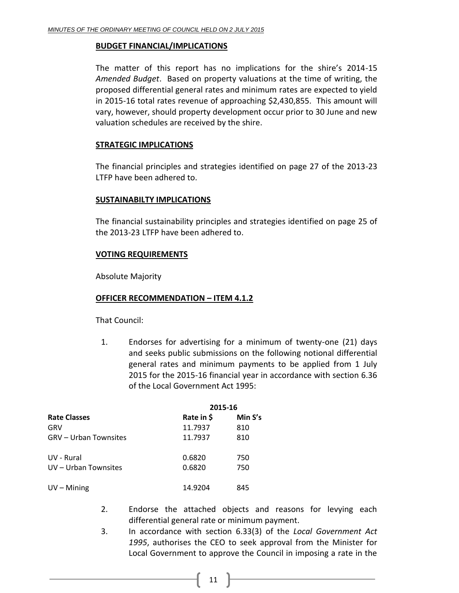#### **BUDGET FINANCIAL/IMPLICATIONS**

The matter of this report has no implications for the shire's 2014-15 *Amended Budget*. Based on property valuations at the time of writing, the proposed differential general rates and minimum rates are expected to yield in 2015-16 total rates revenue of approaching \$2,430,855. This amount will vary, however, should property development occur prior to 30 June and new valuation schedules are received by the shire.

#### **STRATEGIC IMPLICATIONS**

The financial principles and strategies identified on page 27 of the 2013-23 LTFP have been adhered to.

#### **SUSTAINABILTY IMPLICATIONS**

The financial sustainability principles and strategies identified on page 25 of the 2013-23 LTFP have been adhered to.

#### **VOTING REQUIREMENTS**

Absolute Majority

#### **OFFICER RECOMMENDATION – ITEM 4.1.2**

That Council:

1. Endorses for advertising for a minimum of twenty-one (21) days and seeks public submissions on the following notional differential general rates and minimum payments to be applied from 1 July 2015 for the 2015-16 financial year in accordance with section 6.36 of the Local Government Act 1995:

|                       | 2015-16    |         |  |
|-----------------------|------------|---------|--|
| <b>Rate Classes</b>   | Rate in \$ | Min S's |  |
| GRV                   | 11.7937    | 810     |  |
| GRV – Urban Townsites | 11.7937    | 810     |  |
| UV - Rural            | 0.6820     | 750     |  |
| UV - Urban Townsites  | 0.6820     | 750     |  |
| $UV - Mining$         | 14.9204    | 845     |  |

- 2. Endorse the attached objects and reasons for levying each differential general rate or minimum payment.
- 3. In accordance with section 6.33(3) of the *Local Government Act 1995*, authorises the CEO to seek approval from the Minister for Local Government to approve the Council in imposing a rate in the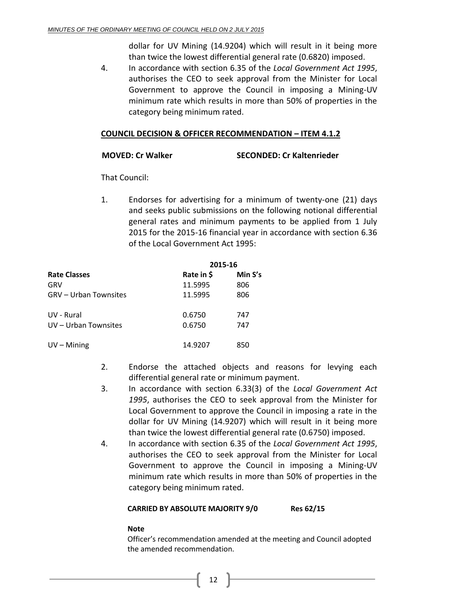dollar for UV Mining (14.9204) which will result in it being more than twice the lowest differential general rate (0.6820) imposed.

4. In accordance with section 6.35 of the *Local Government Act 1995*, authorises the CEO to seek approval from the Minister for Local Government to approve the Council in imposing a Mining-UV minimum rate which results in more than 50% of properties in the category being minimum rated.

#### **COUNCIL DECISION & OFFICER RECOMMENDATION – ITEM 4.1.2**

#### **MOVED: Cr Walker SECONDED: Cr Kaltenrieder**

That Council:

1. Endorses for advertising for a minimum of twenty-one (21) days and seeks public submissions on the following notional differential general rates and minimum payments to be applied from 1 July 2015 for the 2015-16 financial year in accordance with section 6.36 of the Local Government Act 1995:

|                              | 2015-16    |         |  |
|------------------------------|------------|---------|--|
| <b>Rate Classes</b>          | Rate in \$ | Min S's |  |
| GRV                          | 11.5995    | 806     |  |
| <b>GRV – Urban Townsites</b> | 11.5995    | 806     |  |
| UV - Rural                   | 0.6750     | 747     |  |
| UV - Urban Townsites         | 0.6750     | 747     |  |
| $UV - Mining$                | 14.9207    | 850     |  |

- 2. Endorse the attached objects and reasons for levying each differential general rate or minimum payment.
- 3. In accordance with section 6.33(3) of the *Local Government Act 1995*, authorises the CEO to seek approval from the Minister for Local Government to approve the Council in imposing a rate in the dollar for UV Mining (14.9207) which will result in it being more than twice the lowest differential general rate (0.6750) imposed.
- 4. In accordance with section 6.35 of the *Local Government Act 1995*, authorises the CEO to seek approval from the Minister for Local Government to approve the Council in imposing a Mining-UV minimum rate which results in more than 50% of properties in the category being minimum rated.

#### **CARRIED BY ABSOLUTE MAJORITY 9/0 Res 62/15**

#### **Note**

Officer's recommendation amended at the meeting and Council adopted the amended recommendation.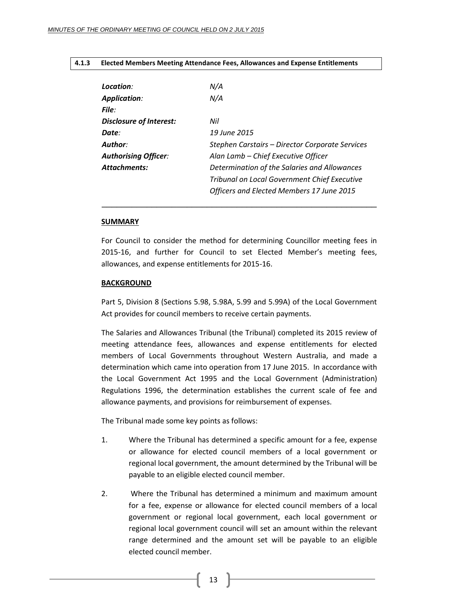#### <span id="page-12-0"></span>**4.1.3 Elected Members Meeting Attendance Fees, Allowances and Expense Entitlements**

| Location:                      | N/A                                                 |
|--------------------------------|-----------------------------------------------------|
| <b>Application:</b>            | N/A                                                 |
| File:                          |                                                     |
| <b>Disclosure of Interest:</b> | Nil                                                 |
| Date:                          | 19 June 2015                                        |
| Author:                        | Stephen Carstairs - Director Corporate Services     |
| <b>Authorising Officer:</b>    | Alan Lamb - Chief Executive Officer                 |
| <b>Attachments:</b>            | Determination of the Salaries and Allowances        |
|                                | <b>Tribunal on Local Government Chief Executive</b> |
|                                | Officers and Elected Members 17 June 2015           |

#### **SUMMARY**

For Council to consider the method for determining Councillor meeting fees in 2015-16, and further for Council to set Elected Member's meeting fees, allowances, and expense entitlements for 2015-16.

\_\_\_\_\_\_\_\_\_\_\_\_\_\_\_\_\_\_\_\_\_\_\_\_\_\_\_\_\_\_\_\_\_\_\_\_\_\_\_\_\_\_\_\_\_\_\_\_\_\_\_\_\_\_\_

#### **BACKGROUND**

Part 5, Division 8 (Sections 5.98, 5.98A, 5.99 and 5.99A) of the Local Government Act provides for council members to receive certain payments.

The Salaries and Allowances Tribunal (the Tribunal) completed its 2015 review of meeting attendance fees, allowances and expense entitlements for elected members of Local Governments throughout Western Australia, and made a determination which came into operation from 17 June 2015. In accordance with the Local Government Act 1995 and the Local Government (Administration) Regulations 1996, the determination establishes the current scale of fee and allowance payments, and provisions for reimbursement of expenses.

The Tribunal made some key points as follows:

- 1. Where the Tribunal has determined a specific amount for a fee, expense or allowance for elected council members of a local government or regional local government, the amount determined by the Tribunal will be payable to an eligible elected council member.
- 2. Where the Tribunal has determined a minimum and maximum amount for a fee, expense or allowance for elected council members of a local government or regional local government, each local government or regional local government council will set an amount within the relevant range determined and the amount set will be payable to an eligible elected council member.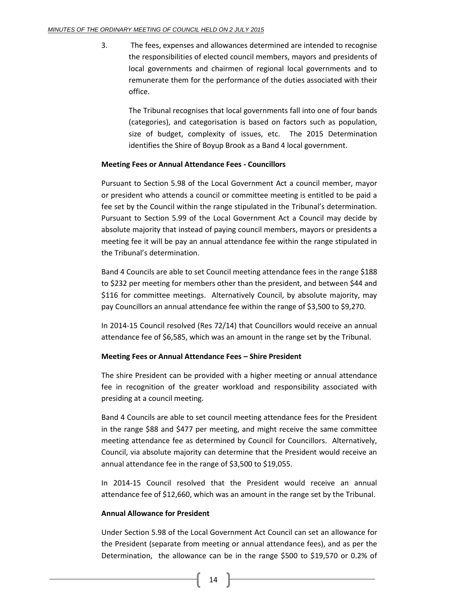3. The fees, expenses and allowances determined are intended to recognise the responsibilities of elected council members, mayors and presidents of local governments and chairmen of regional local governments and to remunerate them for the performance of the duties associated with their office.

The Tribunal recognises that local governments fall into one of four bands (categories), and categorisation is based on factors such as population, size of budget, complexity of issues, etc. The 2015 Determination identifies the Shire of Boyup Brook as a Band 4 local government.

#### **Meeting Fees or Annual Attendance Fees - Councillors**

Pursuant to Section 5.98 of the Local Government Act a council member, mayor or president who attends a council or committee meeting is entitled to be paid a fee set by the Council within the range stipulated in the Tribunal's determination. Pursuant to Section 5.99 of the Local Government Act a Council may decide by absolute majority that instead of paying council members, mayors or presidents a meeting fee it will be pay an annual attendance fee within the range stipulated in the Tribunal's determination.

Band 4 Councils are able to set Council meeting attendance fees in the range \$188 to \$232 per meeting for members other than the president, and between \$44 and \$116 for committee meetings. Alternatively Council, by absolute majority, may pay Councillors an annual attendance fee within the range of \$3,500 to \$9,270.

In 2014-15 Council resolved (Res 72/14) that Councillors would receive an annual attendance fee of \$6,585, which was an amount in the range set by the Tribunal.

#### **Meeting Fees or Annual Attendance Fees – Shire President**

The shire President can be provided with a higher meeting or annual attendance fee in recognition of the greater workload and responsibility associated with presiding at a council meeting.

Band 4 Councils are able to set council meeting attendance fees for the President in the range \$88 and \$477 per meeting, and might receive the same committee meeting attendance fee as determined by Council for Councillors. Alternatively, Council, via absolute majority can determine that the President would receive an annual attendance fee in the range of \$3,500 to \$19,055.

In 2014-15 Council resolved that the President would receive an annual attendance fee of \$12,660, which was an amount in the range set by the Tribunal.

#### **Annual Allowance for President**

Under Section 5.98 of the Local Government Act Council can set an allowance for the President (separate from meeting or annual attendance fees), and as per the Determination, the allowance can be in the range \$500 to \$19,570 or 0.2% of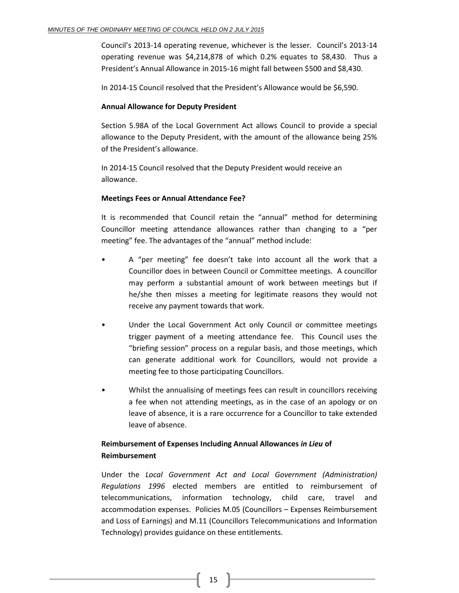Council's 2013-14 operating revenue, whichever is the lesser. Council's 2013-14 operating revenue was \$4,214,878 of which 0.2% equates to \$8,430. Thus a President's Annual Allowance in 2015-16 might fall between \$500 and \$8,430.

In 2014-15 Council resolved that the President's Allowance would be \$6,590.

#### **Annual Allowance for Deputy President**

Section 5.98A of the Local Government Act allows Council to provide a special allowance to the Deputy President, with the amount of the allowance being 25% of the President's allowance.

In 2014-15 Council resolved that the Deputy President would receive an allowance.

#### **Meetings Fees or Annual Attendance Fee?**

It is recommended that Council retain the "annual" method for determining Councillor meeting attendance allowances rather than changing to a "per meeting" fee. The advantages of the "annual" method include:

- A "per meeting" fee doesn't take into account all the work that a Councillor does in between Council or Committee meetings. A councillor may perform a substantial amount of work between meetings but if he/she then misses a meeting for legitimate reasons they would not receive any payment towards that work.
- Under the Local Government Act only Council or committee meetings trigger payment of a meeting attendance fee. This Council uses the "briefing session" process on a regular basis, and those meetings, which can generate additional work for Councillors, would not provide a meeting fee to those participating Councillors.
- Whilst the annualising of meetings fees can result in councillors receiving a fee when not attending meetings, as in the case of an apology or on leave of absence, it is a rare occurrence for a Councillor to take extended leave of absence.

#### **Reimbursement of Expenses Including Annual Allowances** *in Lieu* **of Reimbursement**

Under the *Local Government Act and Local Government (Administration) Regulations 1996* elected members are entitled to reimbursement of telecommunications, information technology, child care, travel and accommodation expenses. Policies M.05 (Councillors – Expenses Reimbursement and Loss of Earnings) and M.11 (Councillors Telecommunications and Information Technology) provides guidance on these entitlements.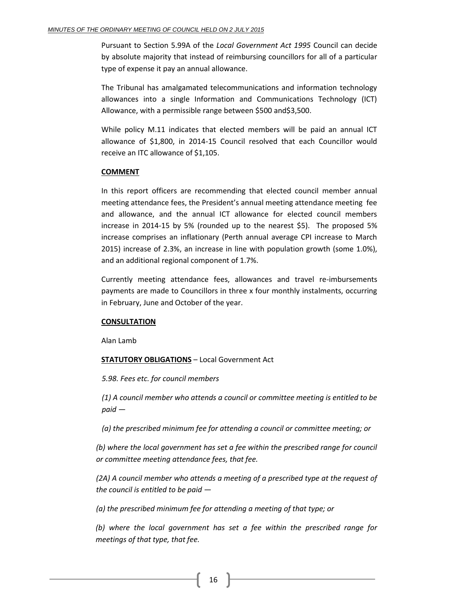Pursuant to Section 5.99A of the *Local Government Act 1995* Council can decide by absolute majority that instead of reimbursing councillors for all of a particular type of expense it pay an annual allowance.

The Tribunal has amalgamated telecommunications and information technology allowances into a single Information and Communications Technology (ICT) Allowance, with a permissible range between \$500 and\$3,500.

While policy M.11 indicates that elected members will be paid an annual ICT allowance of \$1,800, in 2014-15 Council resolved that each Councillor would receive an ITC allowance of \$1,105.

#### **COMMENT**

In this report officers are recommending that elected council member annual meeting attendance fees, the President's annual meeting attendance meeting fee and allowance, and the annual ICT allowance for elected council members increase in 2014-15 by 5% (rounded up to the nearest \$5). The proposed 5% increase comprises an inflationary (Perth annual average CPI increase to March 2015) increase of 2.3%, an increase in line with population growth (some 1.0%), and an additional regional component of 1.7%.

Currently meeting attendance fees, allowances and travel re-imbursements payments are made to Councillors in three x four monthly instalments, occurring in February, June and October of the year.

#### **CONSULTATION**

Alan Lamb

#### **STATUTORY OBLIGATIONS** – Local Government Act

#### *5.98. Fees etc. for council members*

*(1) A council member who attends a council or committee meeting is entitled to be paid —*

*(a) the prescribed minimum fee for attending a council or committee meeting; or*

(b) where the local government has set a fee within the prescribed range for council *or committee meeting attendance fees, that fee.*

*(2A) A council member who attends a meeting of a prescribed type at the request of the council is entitled to be paid —*

*(a) the prescribed minimum fee for attending a meeting of that type; or*

*(b) where the local government has set a fee within the prescribed range for meetings of that type, that fee.*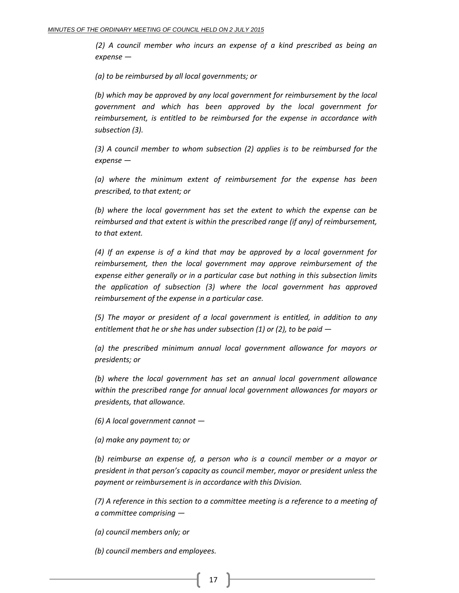*(2) A council member who incurs an expense of a kind prescribed as being an expense —*

*(a) to be reimbursed by all local governments; or*

*(b) which may be approved by any local government for reimbursement by the local government and which has been approved by the local government for reimbursement, is entitled to be reimbursed for the expense in accordance with subsection (3).*

*(3) A council member to whom subsection (2) applies is to be reimbursed for the expense —*

*(a) where the minimum extent of reimbursement for the expense has been prescribed, to that extent; or*

*(b) where the local government has set the extent to which the expense can be reimbursed and that extent is within the prescribed range (if any) of reimbursement, to that extent.*

*(4) If an expense is of a kind that may be approved by a local government for reimbursement, then the local government may approve reimbursement of the expense either generally or in a particular case but nothing in this subsection limits the application of subsection (3) where the local government has approved reimbursement of the expense in a particular case.*

*(5) The mayor or president of a local government is entitled, in addition to any entitlement that he or she has under subsection (1) or (2), to be paid —*

*(a) the prescribed minimum annual local government allowance for mayors or presidents; or*

*(b) where the local government has set an annual local government allowance within the prescribed range for annual local government allowances for mayors or presidents, that allowance.*

*(6) A local government cannot —*

*(a) make any payment to; or*

*(b) reimburse an expense of, a person who is a council member or a mayor or president in that person's capacity as council member, mayor or president unless the payment or reimbursement is in accordance with this Division.*

*(7) A reference in this section to a committee meeting is a reference to a meeting of a committee comprising —*

*(a) council members only; or*

*(b) council members and employees.*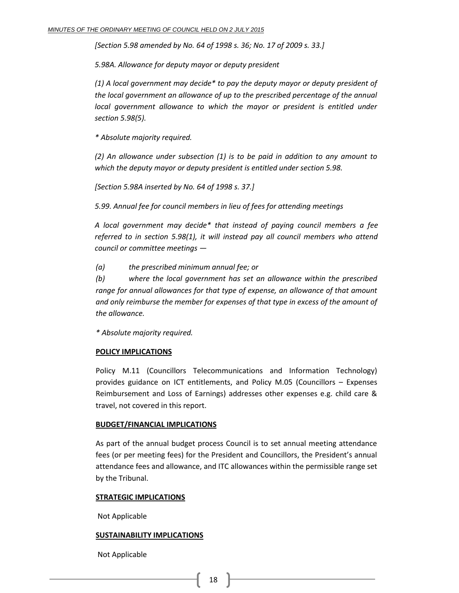*[Section 5.98 amended by No. 64 of 1998 s. 36; No. 17 of 2009 s. 33.]*

*5.98A. Allowance for deputy mayor or deputy president*

*(1) A local government may decide\* to pay the deputy mayor or deputy president of the local government an allowance of up to the prescribed percentage of the annual local government allowance to which the mayor or president is entitled under section 5.98(5).*

*\* Absolute majority required.*

*(2) An allowance under subsection (1) is to be paid in addition to any amount to which the deputy mayor or deputy president is entitled under section 5.98.*

*[Section 5.98A inserted by No. 64 of 1998 s. 37.]*

*5.99. Annual fee for council members in lieu of fees for attending meetings*

*A local government may decide\* that instead of paying council members a fee referred to in section 5.98(1), it will instead pay all council members who attend council or committee meetings —*

*(a) the prescribed minimum annual fee; or*

*(b) where the local government has set an allowance within the prescribed range for annual allowances for that type of expense, an allowance of that amount and only reimburse the member for expenses of that type in excess of the amount of the allowance.*

*\* Absolute majority required.*

#### **POLICY IMPLICATIONS**

Policy M.11 (Councillors Telecommunications and Information Technology) provides guidance on ICT entitlements, and Policy M.05 (Councillors – Expenses Reimbursement and Loss of Earnings) addresses other expenses e.g. child care & travel, not covered in this report.

#### **BUDGET/FINANCIAL IMPLICATIONS**

As part of the annual budget process Council is to set annual meeting attendance fees (or per meeting fees) for the President and Councillors, the President's annual attendance fees and allowance, and ITC allowances within the permissible range set by the Tribunal.

#### **STRATEGIC IMPLICATIONS**

Not Applicable

#### **SUSTAINABILITY IMPLICATIONS**

Not Applicable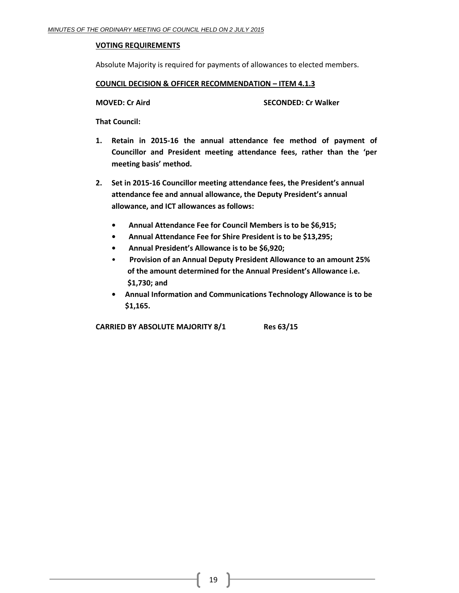#### **VOTING REQUIREMENTS**

Absolute Majority is required for payments of allowances to elected members.

#### **COUNCIL DECISION & OFFICER RECOMMENDATION – ITEM 4.1.3**

**MOVED: Cr Aird SECONDED: Cr Walker**

**That Council:**

- **1. Retain in 2015-16 the annual attendance fee method of payment of Councillor and President meeting attendance fees, rather than the 'per meeting basis' method.**
- **2. Set in 2015-16 Councillor meeting attendance fees, the President's annual attendance fee and annual allowance, the Deputy President's annual allowance, and ICT allowances as follows:**
	- **Annual Attendance Fee for Council Members is to be \$6,915;**
	- **Annual Attendance Fee for Shire President is to be \$13,295;**
	- **Annual President's Allowance is to be \$6,920;**
	- **Provision of an Annual Deputy President Allowance to an amount 25% of the amount determined for the Annual President's Allowance i.e. \$1,730; and**
	- **Annual Information and Communications Technology Allowance is to be \$1,165.**

**CARRIED BY ABSOLUTE MAJORITY 8/1 Res 63/15**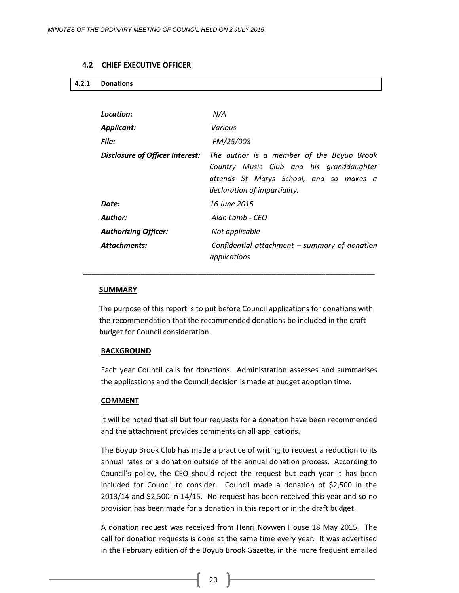#### **4.2 CHIEF EXECUTIVE OFFICER**

<span id="page-19-1"></span><span id="page-19-0"></span>

| 4.2.1 Donations |
|-----------------|
|                 |

| Location:                       | N/A                                                                                                                                                              |
|---------------------------------|------------------------------------------------------------------------------------------------------------------------------------------------------------------|
| <b>Applicant:</b>               | <b>Various</b>                                                                                                                                                   |
| File:                           | FM/25/008                                                                                                                                                        |
| Disclosure of Officer Interest: | The author is a member of the Boyup Brook<br>Country Music Club and his granddaughter<br>attends St Marys School, and so makes a<br>declaration of impartiality. |
| Date:                           | 16 June 2015                                                                                                                                                     |
| <b>Author:</b>                  | Alan Lamb - CEO                                                                                                                                                  |
| <b>Authorizing Officer:</b>     | Not applicable                                                                                                                                                   |
| <b>Attachments:</b>             | Confidential attachment $-$ summary of donation<br>applications                                                                                                  |
|                                 |                                                                                                                                                                  |

#### **SUMMARY**

The purpose of this report is to put before Council applications for donations with the recommendation that the recommended donations be included in the draft budget for Council consideration.

\_\_\_\_\_\_\_\_\_\_\_\_\_\_\_\_\_\_\_\_\_\_\_\_\_\_\_\_\_\_\_\_\_\_\_\_\_\_\_\_\_\_\_\_\_\_\_\_\_\_\_\_\_\_\_\_\_\_\_\_\_\_\_\_\_\_\_\_\_\_\_

#### **BACKGROUND**

Each year Council calls for donations. Administration assesses and summarises the applications and the Council decision is made at budget adoption time.

#### **COMMENT**

It will be noted that all but four requests for a donation have been recommended and the attachment provides comments on all applications.

The Boyup Brook Club has made a practice of writing to request a reduction to its annual rates or a donation outside of the annual donation process. According to Council's policy, the CEO should reject the request but each year it has been included for Council to consider. Council made a donation of \$2,500 in the 2013/14 and \$2,500 in 14/15. No request has been received this year and so no provision has been made for a donation in this report or in the draft budget.

A donation request was received from Henri Novwen House 18 May 2015. The call for donation requests is done at the same time every year. It was advertised in the February edition of the Boyup Brook Gazette, in the more frequent emailed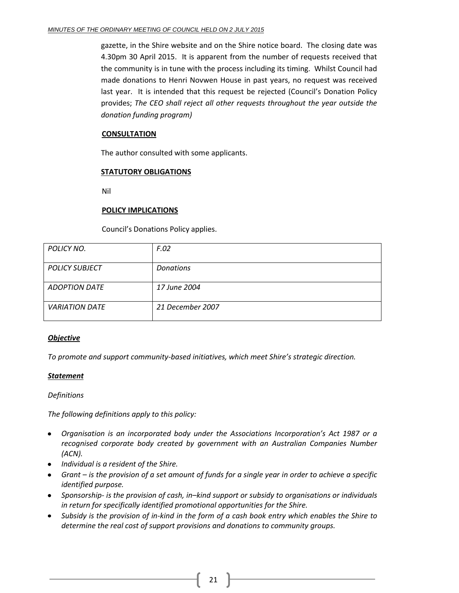gazette, in the Shire website and on the Shire notice board. The closing date was 4.30pm 30 April 2015. It is apparent from the number of requests received that the community is in tune with the process including its timing. Whilst Council had made donations to Henri Novwen House in past years, no request was received last year. It is intended that this request be rejected (Council's Donation Policy provides; *The CEO shall reject all other requests throughout the year outside the donation funding program)*

#### **CONSULTATION**

The author consulted with some applicants.

#### **STATUTORY OBLIGATIONS**

Nil

#### **POLICY IMPLICATIONS**

Council's Donations Policy applies.

| POLICY NO.            | F.02             |
|-----------------------|------------------|
|                       |                  |
| <b>POLICY SUBJECT</b> | <b>Donations</b> |
|                       |                  |
|                       |                  |
| <b>ADOPTION DATE</b>  | 17 June 2004     |
|                       |                  |
|                       |                  |
|                       |                  |
| <b>VARIATION DATE</b> | 21 December 2007 |
|                       |                  |
|                       |                  |
|                       |                  |

#### *Objective*

*To promote and support community-based initiatives, which meet Shire's strategic direction.*

#### *Statement*

*Definitions*

*The following definitions apply to this policy:*

- *Organisation is an incorporated body under the Associations Incorporation's Act 1987 or a recognised corporate body created by government with an Australian Companies Number (ACN).*
- *Individual is a resident of the Shire.*
- *Grant – is the provision of a set amount of funds for a single year in order to achieve a specific identified purpose.*
- *Sponsorship- is the provision of cash, in–kind support or subsidy to organisations or individuals in return for specifically identified promotional opportunities for the Shire.*
- *Subsidy is the provision of in-kind in the form of a cash book entry which enables the Shire to determine the real cost of support provisions and donations to community groups.*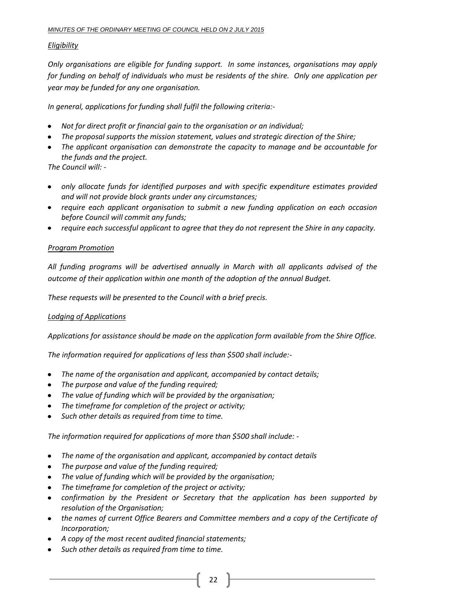#### *Eligibility*

*Only organisations are eligible for funding support. In some instances, organisations may apply for funding on behalf of individuals who must be residents of the shire. Only one application per year may be funded for any one organisation.* 

*In general, applications for funding shall fulfil the following criteria:-*

- *Not for direct profit or financial gain to the organisation or an individual;*
- *The proposal supports the mission statement, values and strategic direction of the Shire;*
- *The applicant organisation can demonstrate the capacity to manage and be accountable for the funds and the project.*

*The Council will: -*

- *only allocate funds for identified purposes and with specific expenditure estimates provided and will not provide block grants under any circumstances;*
- *require each applicant organisation to submit a new funding application on each occasion before Council will commit any funds;*
- *require each successful applicant to agree that they do not represent the Shire in any capacity.*

#### *Program Promotion*

*All funding programs will be advertised annually in March with all applicants advised of the outcome of their application within one month of the adoption of the annual Budget.*

*These requests will be presented to the Council with a brief precis.* 

#### *Lodging of Applications*

*Applications for assistance should be made on the application form available from the Shire Office.*

*The information required for applications of less than \$500 shall include:-*

- *The name of the organisation and applicant, accompanied by contact details;*
- *The purpose and value of the funding required;*
- *The value of funding which will be provided by the organisation;*
- *The timeframe for completion of the project or activity;*
- *Such other details as required from time to time.*  $\bullet$

*The information required for applications of more than \$500 shall include: -*

- *The name of the organisation and applicant, accompanied by contact details*  $\bullet$
- *The purpose and value of the funding required;*
- *The value of funding which will be provided by the organisation;*
- *The timeframe for completion of the project or activity;*  $\bullet$
- confirmation by the President or Secretary that the application has been supported by *resolution of the Organisation;*
- *the names of current Office Bearers and Committee members and a copy of the Certificate of Incorporation;*
- *A copy of the most recent audited financial statements;*
- *Such other details as required from time to time.*
	- 22  $\parallel$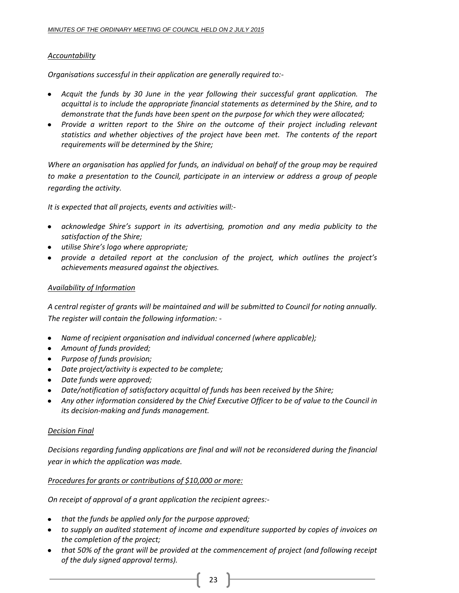#### *Accountability*

*Organisations successful in their application are generally required to:-*

- *Acquit the funds by 30 June in the year following their successful grant application. The acquittal is to include the appropriate financial statements as determined by the Shire, and to demonstrate that the funds have been spent on the purpose for which they were allocated;*
- *Provide a written report to the Shire on the outcome of their project including relevant statistics and whether objectives of the project have been met. The contents of the report requirements will be determined by the Shire;*

*Where an organisation has applied for funds, an individual on behalf of the group may be required to make a presentation to the Council, participate in an interview or address a group of people regarding the activity.*

*It is expected that all projects, events and activities will:-*

- *acknowledge Shire's support in its advertising, promotion and any media publicity to the satisfaction of the Shire;*
- *utilise Shire's logo where appropriate;*
- *provide a detailed report at the conclusion of the project, which outlines the project's achievements measured against the objectives.*

#### *Availability of Information*

*A central register of grants will be maintained and will be submitted to Council for noting annually. The register will contain the following information: -*

- *Name of recipient organisation and individual concerned (where applicable);*
- *Amount of funds provided;*
- *Purpose of funds provision;*
- *Date project/activity is expected to be complete;*
- *Date funds were approved;*
- *Date/notification of satisfactory acquittal of funds has been received by the Shire;*
- *Any other information considered by the Chief Executive Officer to be of value to the Council in*   $\bullet$ *its decision-making and funds management.*

#### *Decision Final*

*Decisions regarding funding applications are final and will not be reconsidered during the financial year in which the application was made.*

#### *Procedures for grants or contributions of \$10,000 or more:*

*On receipt of approval of a grant application the recipient agrees:-*

- *that the funds be applied only for the purpose approved;*
- *to supply an audited statement of income and expenditure supported by copies of invoices on the completion of the project;*
- *that 50% of the grant will be provided at the commencement of project (and following receipt of the duly signed approval terms).*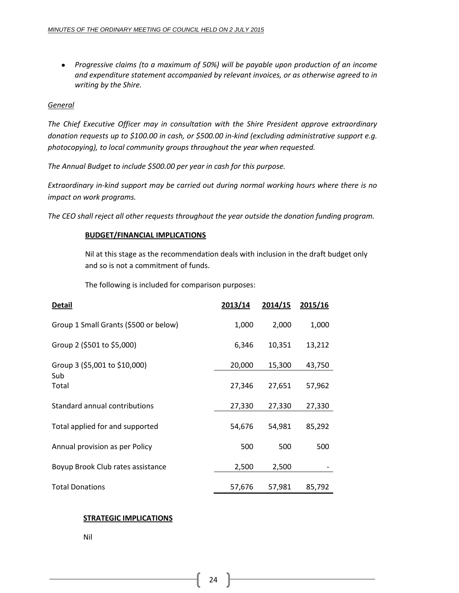*Progressive claims (to a maximum of 50%) will be payable upon production of an income and expenditure statement accompanied by relevant invoices, or as otherwise agreed to in writing by the Shire.*

#### *General*

*The Chief Executive Officer may in consultation with the Shire President approve extraordinary donation requests up to \$100.00 in cash, or \$500.00 in-kind (excluding administrative support e.g. photocopying), to local community groups throughout the year when requested.*

*The Annual Budget to include \$500.00 per year in cash for this purpose.*

*Extraordinary in-kind support may be carried out during normal working hours where there is no impact on work programs.*

*The CEO shall reject all other requests throughout the year outside the donation funding program.*

#### **BUDGET/FINANCIAL IMPLICATIONS**

Nil at this stage as the recommendation deals with inclusion in the draft budget only and so is not a commitment of funds.

The following is included for comparison purposes:

| <b>Detail</b>                         | 2013/14 | 2014/15 | 2015/16 |
|---------------------------------------|---------|---------|---------|
| Group 1 Small Grants (\$500 or below) | 1,000   | 2,000   | 1,000   |
| Group 2 (\$501 to \$5,000)            | 6,346   | 10,351  | 13,212  |
| Group 3 (\$5,001 to \$10,000)         | 20,000  | 15,300  | 43,750  |
| Sub<br>Total                          | 27,346  | 27,651  | 57,962  |
| Standard annual contributions         | 27,330  | 27,330  | 27,330  |
| Total applied for and supported       | 54,676  | 54,981  | 85,292  |
| Annual provision as per Policy        | 500     | 500     | 500     |
| Boyup Brook Club rates assistance     | 2,500   | 2,500   |         |
| <b>Total Donations</b>                | 57,676  | 57,981  | 85,792  |

#### **STRATEGIC IMPLICATIONS**

Nil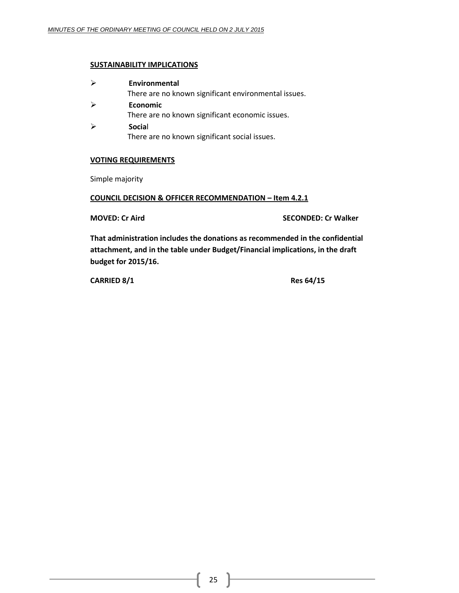#### **SUSTAINABILITY IMPLICATIONS**

| Environmental                                        |
|------------------------------------------------------|
| There are no known significant environmental issues. |
| <b>Economic</b>                                      |
| There are no known significant economic issues.      |
| Social                                               |
| There are no known significant social issues.        |

#### **VOTING REQUIREMENTS**

Simple majority

#### **COUNCIL DECISION & OFFICER RECOMMENDATION – Item 4.2.1**

**MOVED: Cr Aird SECONDED: Cr Walker**

**That administration includes the donations as recommended in the confidential attachment, and in the table under Budget/Financial implications, in the draft budget for 2015/16.**

**CARRIED 8/1 Res 64/15**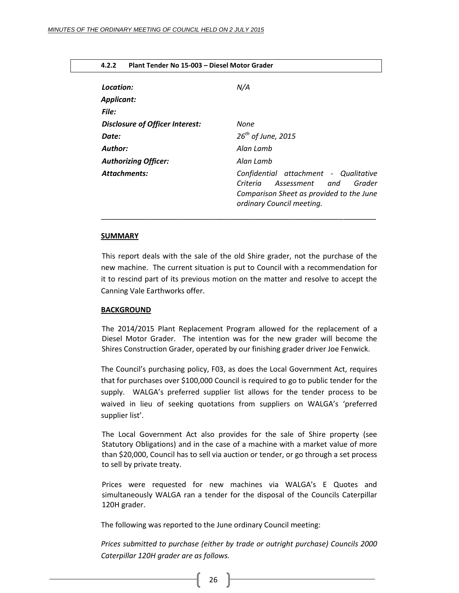<span id="page-25-0"></span>

| Plant Tender No 15-003 - Diesel Motor Grader<br>4.2.2 |                                                                                                                                                           |  |
|-------------------------------------------------------|-----------------------------------------------------------------------------------------------------------------------------------------------------------|--|
| Location:                                             | N/A                                                                                                                                                       |  |
| <b>Applicant:</b><br>File:                            |                                                                                                                                                           |  |
| Disclosure of Officer Interest:                       | None                                                                                                                                                      |  |
| Date:                                                 | $26^{th}$ of June, 2015                                                                                                                                   |  |
| Author:                                               | Alan Lamb                                                                                                                                                 |  |
| <b>Authorizing Officer:</b>                           | Alan Lamb                                                                                                                                                 |  |
| <b>Attachments:</b>                                   | Confidential attachment - Qualitative<br>Criteria<br>Assessment<br>Grader<br>and<br>Comparison Sheet as provided to the June<br>ordinary Council meeting. |  |

#### **SUMMARY**

This report deals with the sale of the old Shire grader, not the purchase of the new machine. The current situation is put to Council with a recommendation for it to rescind part of its previous motion on the matter and resolve to accept the Canning Vale Earthworks offer.

#### **BACKGROUND**

The 2014/2015 Plant Replacement Program allowed for the replacement of a Diesel Motor Grader. The intention was for the new grader will become the Shires Construction Grader, operated by our finishing grader driver Joe Fenwick.

The Council's purchasing policy, F03, as does the Local Government Act, requires that for purchases over \$100,000 Council is required to go to public tender for the supply. WALGA's preferred supplier list allows for the tender process to be waived in lieu of seeking quotations from suppliers on WALGA's 'preferred supplier list'.

The Local Government Act also provides for the sale of Shire property (see Statutory Obligations) and in the case of a machine with a market value of more than \$20,000, Council has to sell via auction or tender, or go through a set process to sell by private treaty.

Prices were requested for new machines via WALGA's E Quotes and simultaneously WALGA ran a tender for the disposal of the Councils Caterpillar 120H grader.

The following was reported to the June ordinary Council meeting:

*Prices submitted to purchase (either by trade or outright purchase) Councils 2000 Caterpillar 120H grader are as follows.*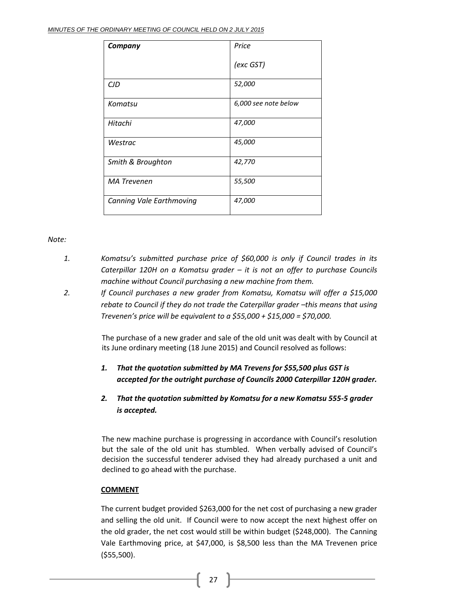| Company                         | Price                |
|---------------------------------|----------------------|
|                                 | (exc GST)            |
| <b>CJD</b>                      | 52,000               |
| Komatsu                         | 6,000 see note below |
| Hitachi                         | 47,000               |
| Westrac                         | 45,000               |
| Smith & Broughton               | 42,770               |
| <b>MA Trevenen</b>              | 55,500               |
| <b>Canning Vale Earthmoving</b> | 47,000               |

#### *Note:*

- *1. Komatsu's submitted purchase price of \$60,000 is only if Council trades in its Caterpillar 120H on a Komatsu grader – it is not an offer to purchase Councils machine without Council purchasing a new machine from them.*
- *2. If Council purchases a new grader from Komatsu, Komatsu will offer a \$15,000 rebate to Council if they do not trade the Caterpillar grader -this means that using Trevenen's price will be equivalent to a \$55,000 + \$15,000 = \$70,000.*

The purchase of a new grader and sale of the old unit was dealt with by Council at its June ordinary meeting (18 June 2015) and Council resolved as follows:

- *1. That the quotation submitted by MA Trevens for \$55,500 plus GST is accepted for the outright purchase of Councils 2000 Caterpillar 120H grader.*
- *2. That the quotation submitted by Komatsu for a new Komatsu 555-5 grader is accepted.*

The new machine purchase is progressing in accordance with Council's resolution but the sale of the old unit has stumbled. When verbally advised of Council's decision the successful tenderer advised they had already purchased a unit and declined to go ahead with the purchase.

#### **COMMENT**

The current budget provided \$263,000 for the net cost of purchasing a new grader and selling the old unit. If Council were to now accept the next highest offer on the old grader, the net cost would still be within budget (\$248,000). The Canning Vale Earthmoving price, at \$47,000, is \$8,500 less than the MA Trevenen price (\$55,500).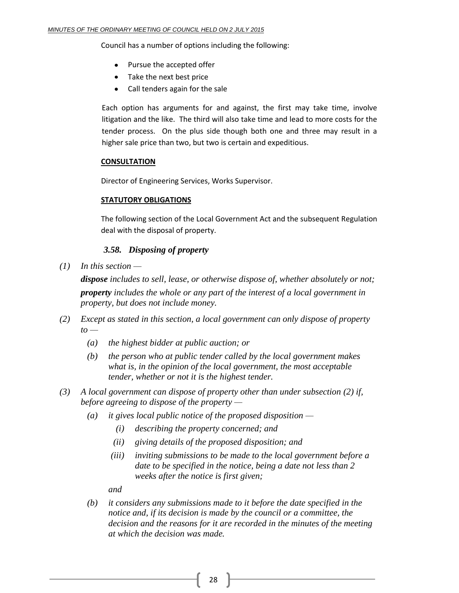Council has a number of options including the following:

- Pursue the accepted offer
- Take the next best price  $\bullet$
- Call tenders again for the sale

Each option has arguments for and against, the first may take time, involve litigation and the like. The third will also take time and lead to more costs for the tender process. On the plus side though both one and three may result in a higher sale price than two, but two is certain and expeditious.

#### **CONSULTATION**

Director of Engineering Services, Works Supervisor.

#### **STATUTORY OBLIGATIONS**

The following section of the Local Government Act and the subsequent Regulation deal with the disposal of property.

#### *3.58. Disposing of property*

*(1) In this section —*

*dispose includes to sell, lease, or otherwise dispose of, whether absolutely or not; property includes the whole or any part of the interest of a local government in property, but does not include money.*

- *(2) Except as stated in this section, a local government can only dispose of property to —*
	- *(a) the highest bidder at public auction; or*
	- *(b) the person who at public tender called by the local government makes what is, in the opinion of the local government, the most acceptable tender, whether or not it is the highest tender.*
- *(3) A local government can dispose of property other than under subsection (2) if, before agreeing to dispose of the property —*
	- *(a) it gives local public notice of the proposed disposition —*
		- *(i) describing the property concerned; and*
		- *(ii) giving details of the proposed disposition; and*
		- *(iii) inviting submissions to be made to the local government before a date to be specified in the notice, being a date not less than 2 weeks after the notice is first given;*

*and*

*(b) it considers any submissions made to it before the date specified in the notice and, if its decision is made by the council or a committee, the decision and the reasons for it are recorded in the minutes of the meeting at which the decision was made.*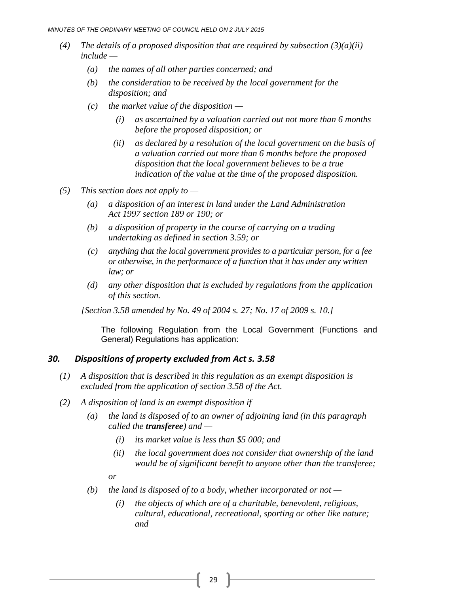- *(4) The details of a proposed disposition that are required by subsection*  $(3)(a)(ii)$ *include —*
	- *(a) the names of all other parties concerned; and*
	- *(b) the consideration to be received by the local government for the disposition; and*
	- *(c) the market value of the disposition —*
		- *(i) as ascertained by a valuation carried out not more than 6 months before the proposed disposition; or*
		- *(ii) as declared by a resolution of the local government on the basis of a valuation carried out more than 6 months before the proposed disposition that the local government believes to be a true indication of the value at the time of the proposed disposition.*
- *(5) This section does not apply to —*
	- *(a) a disposition of an interest in land under the Land Administration Act 1997 section 189 or 190; or*
	- *(b) a disposition of property in the course of carrying on a trading undertaking as defined in section 3.59; or*
	- *(c) anything that the local government provides to a particular person, for a fee or otherwise, in the performance of a function that it has under any written law; or*
	- *(d) any other disposition that is excluded by regulations from the application of this section.*

*[Section 3.58 amended by No. 49 of 2004 s. 27; No. 17 of 2009 s. 10.]*

The following Regulation from the Local Government (Functions and General) Regulations has application:

#### *30. Dispositions of property excluded from Act s. 3.58*

- *(1) A disposition that is described in this regulation as an exempt disposition is excluded from the application of section 3.58 of the Act.*
- *(2) A disposition of land is an exempt disposition if —*
	- *(a) the land is disposed of to an owner of adjoining land (in this paragraph called the transferee) and —*
		- *(i) its market value is less than \$5 000; and*
		- *(ii) the local government does not consider that ownership of the land would be of significant benefit to anyone other than the transferee;*

*or*

- *(b) the land is disposed of to a body, whether incorporated or not —*
	- *(i) the objects of which are of a charitable, benevolent, religious, cultural, educational, recreational, sporting or other like nature; and*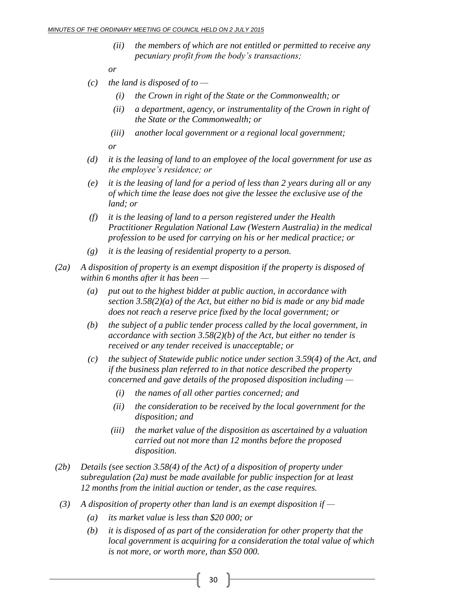*(ii) the members of which are not entitled or permitted to receive any pecuniary profit from the body's transactions;*

*or*

- *(c) the land is disposed of to —*
	- *(i) the Crown in right of the State or the Commonwealth; or*
	- *(ii) a department, agency, or instrumentality of the Crown in right of the State or the Commonwealth; or*
	- *(iii) another local government or a regional local government;*

*or*

- *(d) it is the leasing of land to an employee of the local government for use as the employee's residence; or*
- *(e) it is the leasing of land for a period of less than 2 years during all or any of which time the lease does not give the lessee the exclusive use of the land; or*
- *(f) it is the leasing of land to a person registered under the Health Practitioner Regulation National Law (Western Australia) in the medical profession to be used for carrying on his or her medical practice; or*
- *(g) it is the leasing of residential property to a person.*
- *(2a) A disposition of property is an exempt disposition if the property is disposed of within 6 months after it has been —*
	- *(a) put out to the highest bidder at public auction, in accordance with section 3.58(2)(a) of the Act, but either no bid is made or any bid made does not reach a reserve price fixed by the local government; or*
	- *(b) the subject of a public tender process called by the local government, in accordance with section 3.58(2)(b) of the Act, but either no tender is received or any tender received is unacceptable; or*
	- *(c) the subject of Statewide public notice under section 3.59(4) of the Act, and if the business plan referred to in that notice described the property concerned and gave details of the proposed disposition including —*
		- *(i) the names of all other parties concerned; and*
		- *(ii) the consideration to be received by the local government for the disposition; and*
		- *(iii) the market value of the disposition as ascertained by a valuation carried out not more than 12 months before the proposed disposition.*
- *(2b) Details (see section 3.58(4) of the Act) of a disposition of property under subregulation (2a) must be made available for public inspection for at least 12 months from the initial auction or tender, as the case requires.*
- *(3) A disposition of property other than land is an exempt disposition if —*
	- *(a) its market value is less than \$20 000; or*
	- *(b) it is disposed of as part of the consideration for other property that the local government is acquiring for a consideration the total value of which is not more, or worth more, than \$50 000.*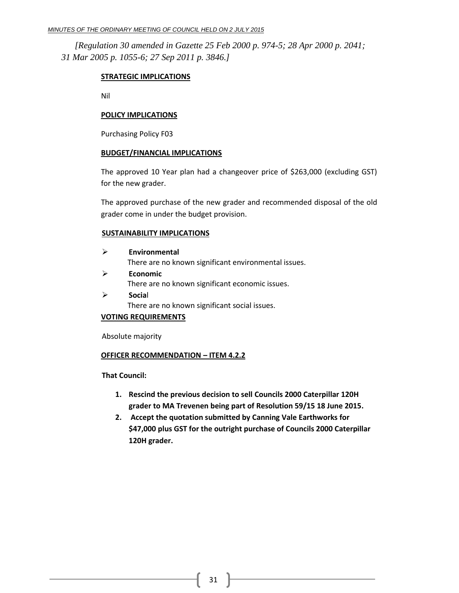#### *MINUTES OF THE ORDINARY MEETING OF COUNCIL HELD ON 2 JULY 2015*

*[Regulation 30 amended in Gazette 25 Feb 2000 p. 974-5; 28 Apr 2000 p. 2041; 31 Mar 2005 p. 1055-6; 27 Sep 2011 p. 3846.]*

#### **STRATEGIC IMPLICATIONS**

Nil

#### **POLICY IMPLICATIONS**

Purchasing Policy F03

#### **BUDGET/FINANCIAL IMPLICATIONS**

The approved 10 Year plan had a changeover price of \$263,000 (excluding GST) for the new grader.

The approved purchase of the new grader and recommended disposal of the old grader come in under the budget provision.

#### **SUSTAINABILITY IMPLICATIONS**

| ↘ | Environmental                                        |
|---|------------------------------------------------------|
|   | There are no known significant environmental issues. |
|   | Economic                                             |

There are no known significant economic issues.

 **Socia**l There are no known significant social issues.

#### **VOTING REQUIREMENTS**

Absolute majority

#### **OFFICER RECOMMENDATION – ITEM 4.2.2**

**That Council:**

- **1. Rescind the previous decision to sell Councils 2000 Caterpillar 120H grader to MA Trevenen being part of Resolution 59/15 18 June 2015.**
- **2. Accept the quotation submitted by Canning Vale Earthworks for \$47,000 plus GST for the outright purchase of Councils 2000 Caterpillar 120H grader.**